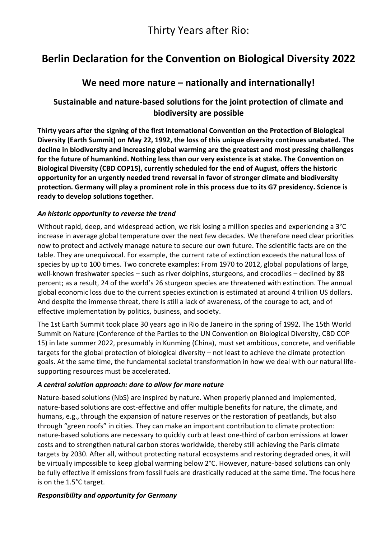# **Berlin Declaration for the Convention on Biological Diversity 2022**

## **We need more nature – nationally and internationally!**

### **Sustainable and nature-based solutions for the joint protection of climate and biodiversity are possible**

**Thirty years after the signing of the first International Convention on the Protection of Biological Diversity (Earth Summit) on May 22, 1992, the loss of this unique diversity continues unabated. The decline in biodiversity and increasing global warming are the greatest and most pressing challenges for the future of humankind. Nothing less than our very existence is at stake. The Convention on Biological Diversity (CBD COP15), currently scheduled for the end of August, offers the historic opportunity for an urgently needed trend reversal in favor of stronger climate and biodiversity protection. Germany will play a prominent role in this process due to its G7 presidency. Science is ready to develop solutions together.**

#### *An historic opportunity to reverse the trend*

Without rapid, deep, and widespread action, we risk losing a million species and experiencing a 3°C increase in average global temperature over the next few decades. We therefore need clear priorities now to protect and actively manage nature to secure our own future. The scientific facts are on the table. They are unequivocal. For example, the current rate of extinction exceeds the natural loss of species by up to 100 times. Two concrete examples: From 1970 to 2012, global populations of large, well-known freshwater species – such as river dolphins, sturgeons, and crocodiles – declined by 88 percent; as a result, 24 of the world's 26 sturgeon species are threatened with extinction. The annual global economic loss due to the current species extinction is estimated at around 4 trillion US dollars. And despite the immense threat, there is still a lack of awareness, of the courage to act, and of effective implementation by politics, business, and society.

The 1st Earth Summit took place 30 years ago in Rio de Janeiro in the spring of 1992. The 15th World Summit on Nature (Conference of the Parties to the UN Convention on Biological Diversity, CBD COP 15) in late summer 2022, presumably in Kunming (China), must set ambitious, concrete, and verifiable targets for the global protection of biological diversity – not least to achieve the climate protection goals. At the same time, the fundamental societal transformation in how we deal with our natural lifesupporting resources must be accelerated.

#### *A central solution approach: dare to allow for more nature*

Nature-based solutions (NbS) are inspired by nature. When properly planned and implemented, nature-based solutions are cost-effective and offer multiple benefits for nature, the climate, and humans, e.g., through the expansion of nature reserves or the restoration of peatlands, but also through "green roofs" in cities. They can make an important contribution to climate protection: nature-based solutions are necessary to quickly curb at least one-third of carbon emissions at lower costs and to strengthen natural carbon stores worldwide, thereby still achieving the Paris climate targets by 2030. After all, without protecting natural ecosystems and restoring degraded ones, it will be virtually impossible to keep global warming below 2°C. However, nature-based solutions can only be fully effective if emissions from fossil fuels are drastically reduced at the same time. The focus here is on the 1.5°C target.

#### *Responsibility and opportunity for Germany*